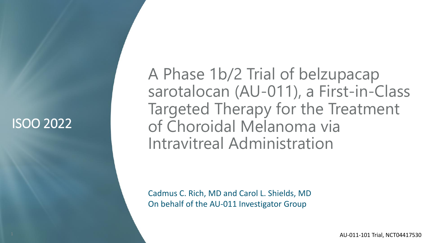## ISOO 2022

A Phase 1b/2 Trial of belzupacap sarotalocan (AU-011), a First-in-Class Targeted Therapy for the Treatment of Choroidal Melanoma via Intravitreal Administration

Cadmus C. Rich, MD and Carol L. Shields, MD On behalf of the AU-011 Investigator Group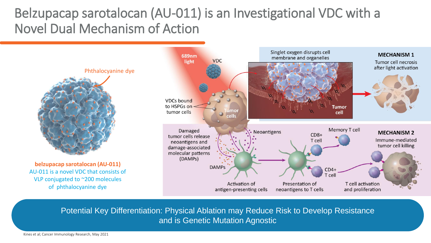## Belzupacap sarotalocan (AU-011) is an Investigational VDC with a Novel Dual Mechanism of Action



Potential Key Differentiation: Physical Ablation may Reduce Risk to Develop Resistance and is Genetic Mutation Agnostic

Kines et al; Cancer Immunology Research, May 2021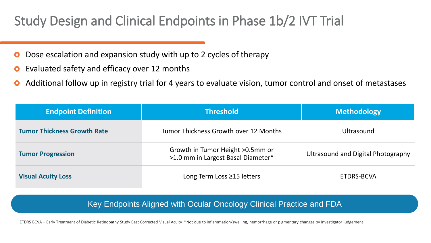## Study Design and Clinical Endpoints in Phase 1b/2 IVT Trial

- Dose escalation and expansion study with up to 2 cycles of therapy O
- Evaluated safety and efficacy over 12 months O
- Additional follow up in registry trial for 4 years to evaluate vision, tumor control and onset of metastases O

| <b>Endpoint Definition</b>         | <b>Threshold</b>                                                        | <b>Methodology</b>                 |  |
|------------------------------------|-------------------------------------------------------------------------|------------------------------------|--|
| <b>Tumor Thickness Growth Rate</b> | Tumor Thickness Growth over 12 Months                                   | <b>Ultrasound</b>                  |  |
| <b>Tumor Progression</b>           | Growth in Tumor Height > 0.5mm or<br>>1.0 mm in Largest Basal Diameter* | Ultrasound and Digital Photography |  |
| <b>Visual Acuity Loss</b>          | Long Term Loss ≥15 letters                                              | ETDRS-BCVA                         |  |

### Key Endpoints Aligned with Ocular Oncology Clinical Practice and FDA

ETDRS BCVA – Early Treatment of Diabetic Retinopathy Study Best Corrected Visual Acuity \*Not due to inflammation/swelling, hemorrhage or pigmentary changes by Investigator judgement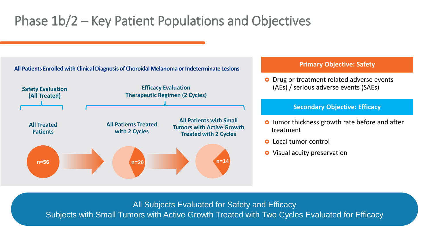### Phase 1b/2 – Key Patient Populations and Objectives



All Subjects Evaluated for Safety and Efficacy Subjects with Small Tumors with Active Growth Treated with Two Cycles Evaluated for Efficacy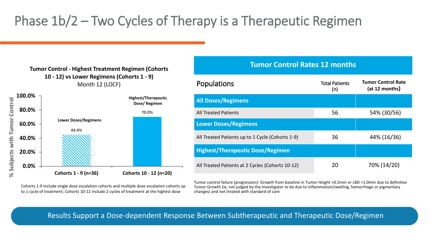## Phase 1b/2 – Two Cycles of Therapy is a Therapeutic Regimen





Cohorts 1-9 include single dose escalation cohorts and multiple dose escalation cohorts up to 1 cycle of treatment; Cohorts 10-12 include 2 cycles of treatment at the highest dose

Tumor control failure (progression): Growth from baseline in Tumor Height >0.5mm or LBD >1.0mm due to definitive Tumor Growth (ie, not judged by the Investigator to be due to inflammation/swelling, hemorrhage or pigmentary changes) and not treated with standard of care

### Results Support a Dose-dependent Response Between Subtherapeutic and Therapeutic Dose/Regimen

| IUIIIUI CUIRTUI NARES 14 IIIUIRIIS               |                              |                                             |  |
|--------------------------------------------------|------------------------------|---------------------------------------------|--|
| <b>Populations</b>                               | <b>Total Patients</b><br>(n) | <b>Tumor Control Rate</b><br>(at 12 months) |  |
| <b>All Doses/Regimens</b>                        |                              |                                             |  |
| <b>All Treated Patients</b>                      | 56                           | 54% (30/56)                                 |  |
| <b>Lower Doses/Regimens</b>                      |                              |                                             |  |
| All Treated Patients up to 1 Cycle (Cohorts 1-9) | 36                           | 44% (16/36)                                 |  |
| <b>Highest/Therapeutic Dose/Regimen</b>          |                              |                                             |  |
| All Treated Patients at 2 Cycles (Cohorts 10-12) | 20                           | 70% (14/20)                                 |  |

**Tumor Control Rates 12 months**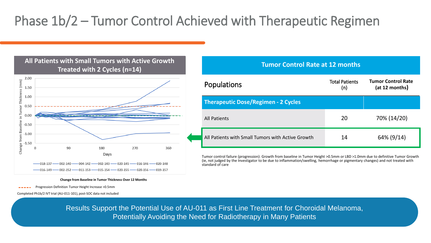## Phase 1b/2 – Tumor Control Achieved with Therapeutic Regimen

### **All Patients with Small Tumors with Active Growth Treated with 2 Cycles (n=14)**



#### **Change from Baseline in Tumor Thickness Over 12 Months**

Progression Definition Tumor Height Increase >0.5mm  $- - - - -$ 

Completed Ph1b/2 IVT trial (AU-011-101), post-SOC data not included

| <b>Tumor Control Rate at 12 months</b>            |                                             |             |  |  |
|---------------------------------------------------|---------------------------------------------|-------------|--|--|
| Populations                                       | <b>Tumor Control Rate</b><br>(at 12 months) |             |  |  |
| <b>Therapeutic Dose/Regimen - 2 Cycles</b>        |                                             |             |  |  |
| <b>All Patients</b>                               | 20                                          | 70% (14/20) |  |  |
| All Patients with Small Tumors with Active Growth | 14                                          | 64% (9/14)  |  |  |

Tumor control failure (progression): Growth from baseline in Tumor Height >0.5mm or LBD >1.0mm due to definitive Tumor Growth (ie, not judged by the Investigator to be due to inflammation/swelling, hemorrhage or pigmentary changes) and not treated with standard of care

Results Support the Potential Use of AU-011 as First Line Treatment for Choroidal Melanoma, Potentially Avoiding the Need for Radiotherapy in Many Patients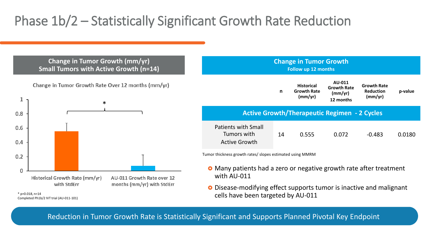### Phase 1b/2 – Statistically Significant Growth Rate Reduction







**Change in Tumor Growth Follow up 12 months**

- Many patients had a zero or negative growth rate after treatment with AU-011
- **O** Disease-modifying effect supports tumor is inactive and malignant cells have been targeted by AU-011

\* p=0.018, n=14 Completed Ph1b/2 IVT trial (AU-011-101)

Reduction in Tumor Growth Rate is Statistically Significant and Supports Planned Pivotal Key Endpoint

**n Historical Growth Rate (mm/yr) AU-011 Growth Rate (mm/yr) 12 months Growth Rate Reduction (mm/yr) p-value Active Growth/Therapeutic Regimen - 2 Cycles** Patients with Small Tumors with Active Growth 14 0.555 0.072 -0.483 0.0180 Tumor thickness growth rates/ slopes estimated using MMRM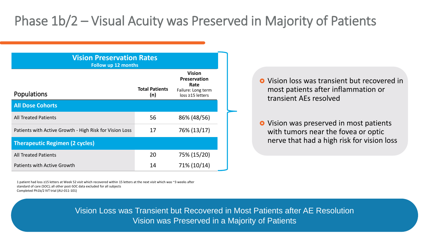### Phase 1b/2 – Visual Acuity was Preserved in Majority of Patients



- **O** Vision loss was transient but recovered in most patients after inflammation or transient AEs resolved
- **O** Vision was preserved in most patients with tumors near the fovea or optic nerve that had a high risk for vision loss

1 patient had loss ≥15 letters at Week 52 visit which recovered within 15 letters at the next visit which was ~3 weeks after standard of care (SOC); all other post-SOC data excluded for all subjects Completed Ph1b/2 IVT trial (AU-011-101)

> Vision Loss was Transient but Recovered in Most Patients after AE Resolution Vision was Preserved in a Majority of Patients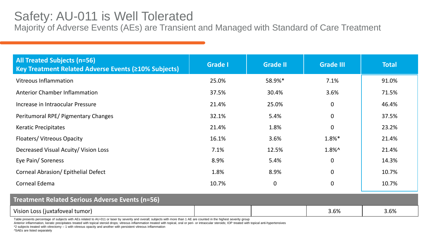### Safety: AU-011 is Well Tolerated

Majority of Adverse Events (AEs) are Transient and Managed with Standard of Care Treatment

| <b>All Treated Subjects (n=56)</b><br>Key Treatment Related Adverse Events (≥10% Subjects) | <b>Grade I</b> | <b>Grade II</b> | <b>Grade III</b> | <b>Total</b> |
|--------------------------------------------------------------------------------------------|----------------|-----------------|------------------|--------------|
| <b>Vitreous Inflammation</b>                                                               | 25.0%          | 58.9%*          | 7.1%             | 91.0%        |
| <b>Anterior Chamber Inflammation</b>                                                       | 37.5%          | 30.4%           | 3.6%             | 71.5%        |
| Increase in Intraocular Pressure                                                           | 21.4%          | 25.0%           | $\mathbf 0$      | 46.4%        |
| Peritumoral RPE/ Pigmentary Changes                                                        | 32.1%          | 5.4%            | $\mathbf 0$      | 37.5%        |
| <b>Keratic Precipitates</b>                                                                | 21.4%          | 1.8%            | $\mathbf 0$      | 23.2%        |
| <b>Floaters/ Vitreous Opacity</b>                                                          | 16.1%          | 3.6%            | 1.8%*            | 21.4%        |
| Decreased Visual Acuity/ Vision Loss                                                       | 7.1%           | 12.5%           | $1.8\%$ ^        | 21.4%        |
| Eye Pain/Soreness                                                                          | 8.9%           | 5.4%            | $\mathbf 0$      | 14.3%        |
| Corneal Abrasion/ Epithelial Defect                                                        | 1.8%           | 8.9%            | $\mathbf 0$      | 10.7%        |
| Corneal Edema                                                                              | 10.7%          | $\mathbf 0$     | $\mathbf 0$      | 10.7%        |
| <b>Treatment Related Serious Adverse Events (n=56)</b>                                     |                |                 |                  |              |
| Vision Loss (juxtafoveal tumor)                                                            |                |                 | 3.6%             | 3.6%         |

Table presents percentage of subjects with AEs related to AU-011 or laser by severity and overall; subjects with more than 1 AE are counted in the highest severity group

Anterior inflammation, keratic precipitates treated with topical steroid drops; vitreous inflammation treated with topical, oral or peri- or intraocular steroids; IOP treated with topical anti-hypertensives

\*2 subjects treated with vitrectomy – 1 with vitreous opacity and another with persistent vitreous inflammation

^SAEs are listed separately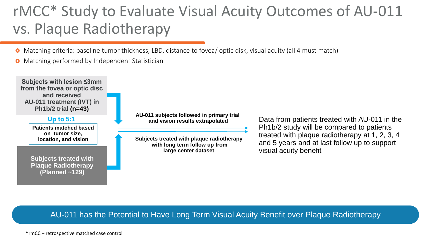# rMCC\* Study to Evaluate Visual Acuity Outcomes of AU-011 vs. Plaque Radiotherapy

Matching criteria: baseline tumor thickness, LBD, distance to fovea/ optic disk, visual acuity (all 4 must match)  $\bullet$ 

Matching performed by Independent Statistician  $\mathbf{o}$ 



### AU-011 has the Potential to Have Long Term Visual Acuity Benefit over Plaque Radiotherapy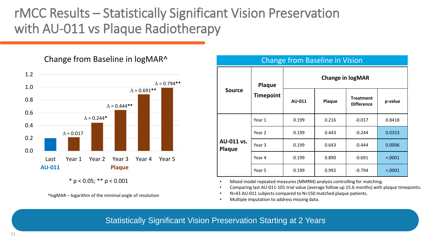## rMCC Results – Statistically Significant Vision Preservation with AU-011 vs Plaque Radiotherapy

Change from Baseline in logMAR^



 $*$  p < 0.05;  $**$  p < 0.001

^logMAR – logarithm of the minimal angle of resolution

| <b>Change from Baseline in Vision</b> |                  |                         |        |                                       |         |
|---------------------------------------|------------------|-------------------------|--------|---------------------------------------|---------|
| <b>Source</b>                         | Plaque           | <b>Change in logMAR</b> |        |                                       |         |
|                                       | <b>Timepoint</b> | AU-011                  | Plaque | <b>Treatment</b><br><b>Difference</b> | p-value |
| AU-011 vs.<br>Plaque                  | Year 1           | 0.199                   | 0.216  | $-0.017$                              | 0.8418  |
|                                       | Year 2           | 0.199                   | 0.443  | $-0.244$                              | 0.0323  |
|                                       | Year 3           | 0.199                   | 0.643  | $-0.444$                              | 0.0006  |
|                                       | Year 4           | 0.199                   | 0.890  | $-0.691$                              | < .0001 |
|                                       | Year 5           | 0.199                   | 0.992  | $-0.794$                              | < .0001 |

• Mixed model repeated measures (MMRM) analysis controlling for matching.

• Comparing last AU-011-101 trial value (average follow up 15.6 months) with plaque timepoints.

N=43 AU-011 subjects compared to N=150 matched plaque patients.

• Multiple imputation to address missing data.

Statistically Significant Vision Preservation Starting at 2 Years